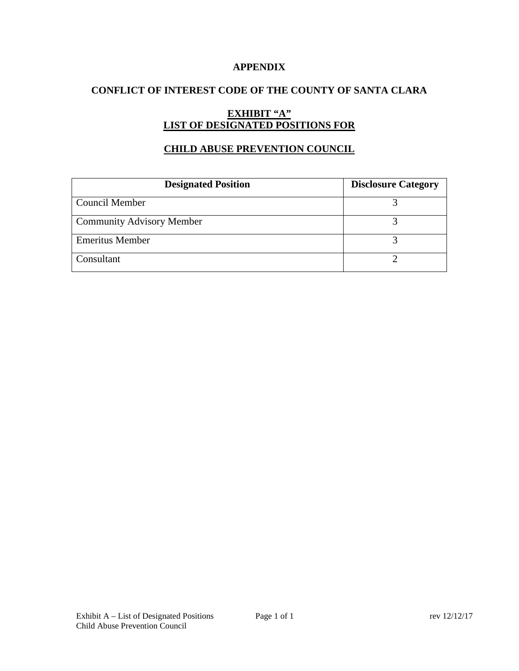## **APPENDIX**

# **CONFLICT OF INTEREST CODE OF THE COUNTY OF SANTA CLARA**

# **EXHIBIT "A" LIST OF DESIGNATED POSITIONS FOR**

## **CHILD ABUSE PREVENTION COUNCIL**

| <b>Designated Position</b>       | <b>Disclosure Category</b> |
|----------------------------------|----------------------------|
| <b>Council Member</b>            |                            |
| <b>Community Advisory Member</b> |                            |
| <b>Emeritus Member</b>           |                            |
| Consultant                       |                            |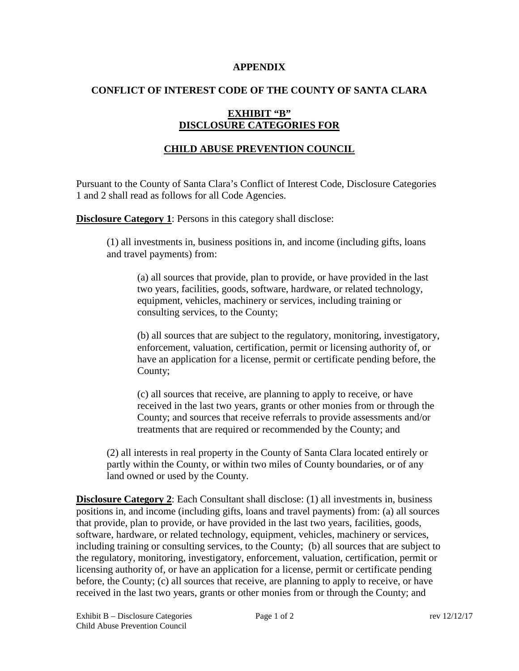#### **APPENDIX**

## **CONFLICT OF INTEREST CODE OF THE COUNTY OF SANTA CLARA**

# **EXHIBIT "B" DISCLOSURE CATEGORIES FOR**

# **CHILD ABUSE PREVENTION COUNCIL**

Pursuant to the County of Santa Clara's Conflict of Interest Code, Disclosure Categories 1 and 2 shall read as follows for all Code Agencies.

**Disclosure Category 1:** Persons in this category shall disclose:

(1) all investments in, business positions in, and income (including gifts, loans and travel payments) from:

(a) all sources that provide, plan to provide, or have provided in the last two years, facilities, goods, software, hardware, or related technology, equipment, vehicles, machinery or services, including training or consulting services, to the County;

(b) all sources that are subject to the regulatory, monitoring, investigatory, enforcement, valuation, certification, permit or licensing authority of, or have an application for a license, permit or certificate pending before, the County;

(c) all sources that receive, are planning to apply to receive, or have received in the last two years, grants or other monies from or through the County; and sources that receive referrals to provide assessments and/or treatments that are required or recommended by the County; and

(2) all interests in real property in the County of Santa Clara located entirely or partly within the County, or within two miles of County boundaries, or of any land owned or used by the County.

**Disclosure Category 2:** Each Consultant shall disclose: (1) all investments in, business positions in, and income (including gifts, loans and travel payments) from: (a) all sources that provide, plan to provide, or have provided in the last two years, facilities, goods, software, hardware, or related technology, equipment, vehicles, machinery or services, including training or consulting services, to the County; (b) all sources that are subject to the regulatory, monitoring, investigatory, enforcement, valuation, certification, permit or licensing authority of, or have an application for a license, permit or certificate pending before, the County; (c) all sources that receive, are planning to apply to receive, or have received in the last two years, grants or other monies from or through the County; and